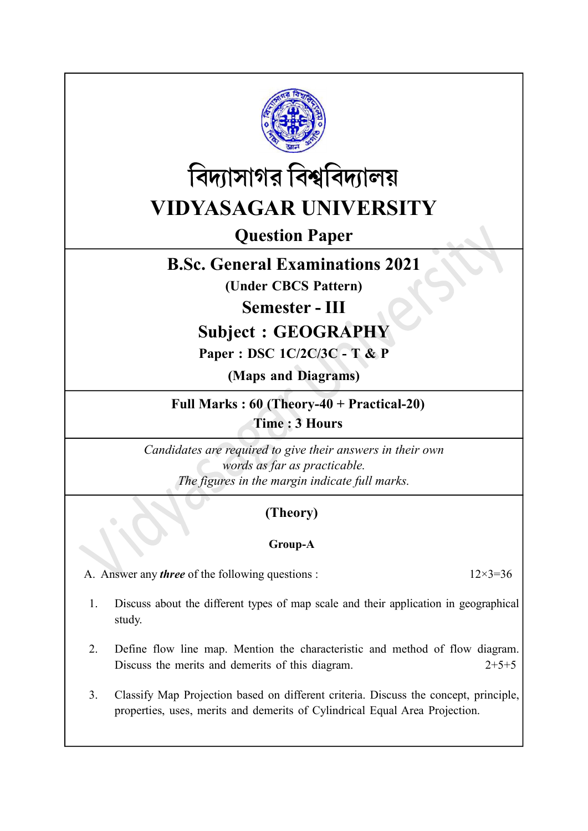

# বিদ্যাসাগর বিশ্ববিদ্যালয় VIDYASAGAR UNIVERSITY

Question Paper

## B.Sc. General Examinations 2021

(Under CBCS Pattern)

Semester - III

## Subject : GEOGRAPHY

### Paper : DSC 1C/2C/3C - T & P

(Maps and Diagrams)

Full Marks : 60 (Theory-40 + Practical-20) Time : 3 Hours

Candidates are required to give their answers in their own words as far as practicable. The figures in the margin indicate full marks.

### (Theory)

### Group-A

A. Answer any *three* of the following questions :  $12 \times 3 = 36$ 

- 1. Discuss about the different types of map scale and their application in geographical study.
- 2. Define flow line map. Mention the characteristic and method of flow diagram. Discuss the merits and demerits of this diagram. 2+5+5
- 3. Classify Map Projection based on different criteria. Discuss the concept, principle, properties, uses, merits and demerits of Cylindrical Equal Area Projection.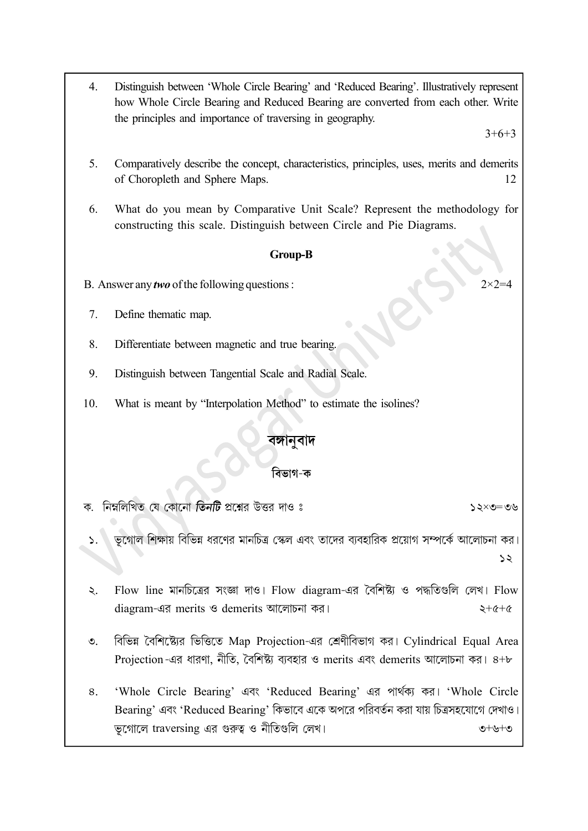4. Distinguish between 'Whole Circle Bearing' and 'Reduced Bearing'. Illustratively represent how Whole Circle Bearing and Reduced Bearing are converted from each other. Write the principles and importance of traversing in geography.

 $3+6+3$ 

- 5. Comparatively describe the concept, characteristics, principles, uses, merits and demerits of Choropleth and Sphere Maps. 12
- 6. What do you mean by Comparative Unit Scale? Represent the methodology for constructing this scale. Distinguish between Circle and Pie Diagrams.

#### Group-B

- B. Answer any *two* of the following questions :  $2 \times 2 = 4$
- 7. Define thematic map.
- 8. Differentiate between magnetic and true bearing.
- 9. Distinguish between Tangential Scale and Radial Scale.
- 10. What is meant by "Interpolation Method" to estimate the isolines?

#### বিভাগ-ক

নিম্নলিখিত যে কোনো **তিনটি** প্রশ্নের উত্তর দাও ঃ  $20 = 2 \times 52$ 

- ভগোল শিক্ষায় বিভিন্ন ধরণের মানচিত্র স্কেল এবং তাদের ব্যবহারিক প্রয়োগ সম্পর্কে আলোচনা কর।  $55$
- Flow line মানচিত্রের সংজ্ঞা দাও। Flow diagram-এর বৈশিষ্ট্য ও পদ্ধতিগুলি লেখ। Flow  $\ddot{\mathcal{L}}$ diagram-এর merits ও demerits আলোচনা কর।<br>
২+৫+৫
- বিভিন্ন বৈশিষ্ট্যের ভিত্তিতে Map Projection-এর শ্রেণীবিভাগ কর। Cylindrical Equal Area  $\mathcal{O}_{\mathcal{L}}$ Projection -এর ধারণা, নীতি, বৈশিষ্ট্য ব্যবহার ও merits এবং demerits আলোচনা কর।  $8 + b$
- 'Whole Circle Bearing' এবং 'Reduced Bearing' এর পার্থক্য কর। 'Whole Circle 8. Bearing' এবং 'Reduced Bearing' কিভাবে একে অপরে পরিবর্তন করা যায় চিত্রসহযোগে দেখাও। ভূগোলে traversing এর গুরুত্ব ও নীতিগুলি লেখ।  $\bullet$  +  $\bullet$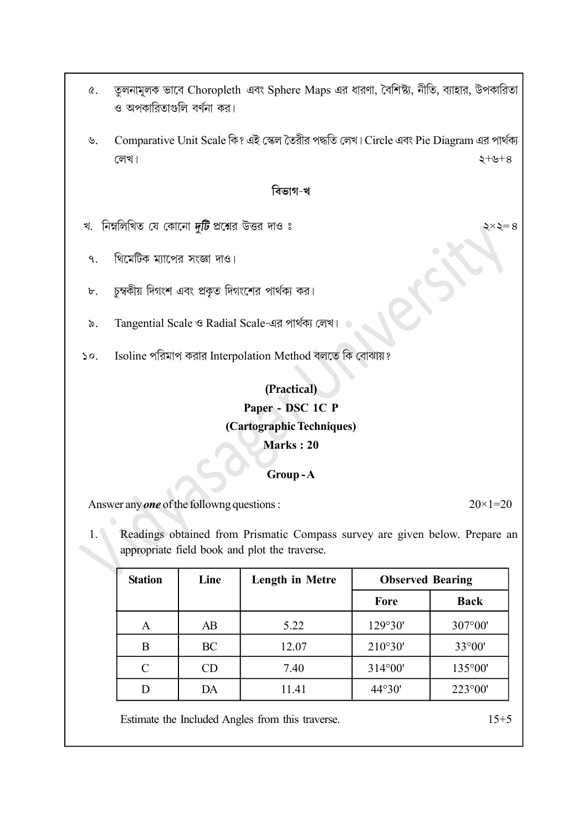- তুলনামূলক ভাবে Choropleth এবং Sphere Maps এর ধারণা, বৈশিষ্ট্য, নীতি, ব্যাহার, উপকারিতা  $\alpha$ . ও অপকারিতাগুলি বর্ণনা কর।
- Comparative Unit Scale কি? এই স্কেল তৈরীর পদ্ধতি লেখ। Circle এবং Pie Diagram এর পার্থক্য  $\mathcal{P}$ লেখ।  $2 + 6 + 8$

#### বিভাগ-খ

- খ. নিম্নলিখিত যে কোনো দুটি প্রশ্নের উত্তর দাওঃ
	- থিমেটিক ম্যাপের সংজ্ঞা দাও।  $\mathsf{q}$
- চুম্বকীয় দিগংশ এবং প্রকৃত দিগংশের পার্থক্য কর।  $\mathbf{b}$ .
- Tangential Scale ও Radial Scale-এর পার্থক্য লেখ।  $\delta$ .
- Isoline পরিমাপ করার Interpolation Method বলতে কি বোঝায়?  $\mathcal{S}^{\mathcal{O}}$ .

### (Practical)

#### Paper - DSC 1C P

#### (Cartographic Techniques)

#### Marks : 20

#### Group - A

Answer any **one** of the followng questions :  $20 \times 1 = 20$ 

1. Readings obtained from Prismatic Compass survey are given below. Prepare an appropriate field book and plot the traverse.

| <b>Station</b> | Line | <b>Length in Metre</b> | <b>Observed Bearing</b> |                  |
|----------------|------|------------------------|-------------------------|------------------|
|                |      |                        | Fore                    | <b>Back</b>      |
| A              | AB   | 5.22                   | 129°30'                 | 307°00'          |
| B              | BC   | 12.07                  | 210°30'                 | $33^{\circ}00'$  |
| C              | CD   | 7.40                   | $314^{\circ}00'$        | 135°00'          |
|                | DА   | 11.41                  | 44°30'                  | $223^{\circ}00'$ |

Estimate the Included Angles from this traverse. 15+5

২ $\times$ ২ $=$ ৪